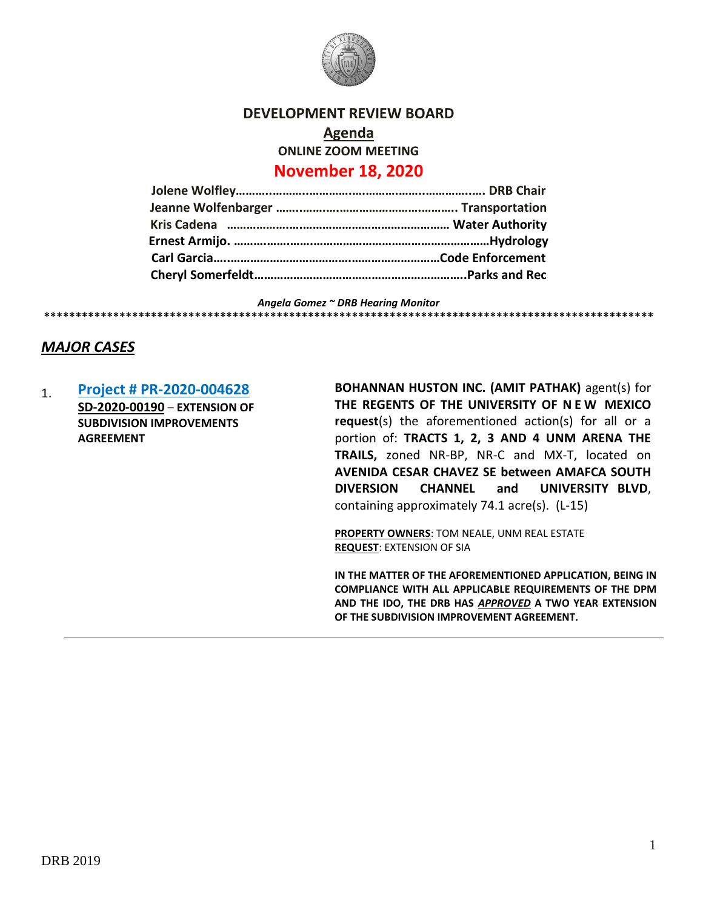

#### **DEVELOPMENT REVIEW BOARD**

**Agenda ONLINE ZOOM MEETING November 18, 2020**

# **Jolene Wolfley………..………..………….….……….……..…………..…. DRB Chair Jeanne Wolfenbarger ……..…….….…………………….……….. Transportation Kris Cadena ……………….….……………………………………… Water Authority Ernest Armijo. ……….…….…….………………………………………………Hydrology Carl Garcia…..……………………………….………………………Code Enforcement Cheryl Somerfeldt………………………………………………………..Parks and Rec**

*Angela Gomez ~ DRB Hearing Monitor* **\*\*\*\*\*\*\*\*\*\*\*\*\*\*\*\*\*\*\*\*\*\*\*\*\*\*\*\*\*\*\*\*\*\*\*\*\*\*\*\*\*\*\*\*\*\*\*\*\*\*\*\*\*\*\*\*\*\*\*\*\*\*\*\*\*\*\*\*\*\*\*\*\*\*\*\*\*\*\*\*\*\*\*\*\*\*\*\*\*\*\*\*\*\*\*\*\***

# *MAJOR CASES*

1. **[Project # PR-2020-004628](http://data.cabq.gov/government/planning/DRB/PR-2020-004628/DRB%20Submittals/PR-2020-004628_Nov_18_2020/Application/) SD-2020-00190** – **EXTENSION OF SUBDIVISION IMPROVEMENTS AGREEMENT**

**BOHANNAN HUSTON INC. (AMIT PATHAK)** agent(s) for **THE REGENTS OF THE UNIVERSITY OF N E W MEXICO request**(s) the aforementioned action(s) for all or a portion of: **TRACTS 1, 2, 3 AND 4 UNM ARENA THE TRAILS,** zoned NR-BP, NR-C and MX-T, located on **AVENIDA CESAR CHAVEZ SE between AMAFCA SOUTH DIVERSION CHANNEL and UNIVERSITY BLVD**, containing approximately 74.1 acre(s). (L-15)

**PROPERTY OWNERS**: TOM NEALE, UNM REAL ESTATE **REQUEST**: EXTENSION OF SIA

**IN THE MATTER OF THE AFOREMENTIONED APPLICATION, BEING IN COMPLIANCE WITH ALL APPLICABLE REQUIREMENTS OF THE DPM AND THE IDO, THE DRB HAS** *APPROVED* **A TWO YEAR EXTENSION OF THE SUBDIVISION IMPROVEMENT AGREEMENT.**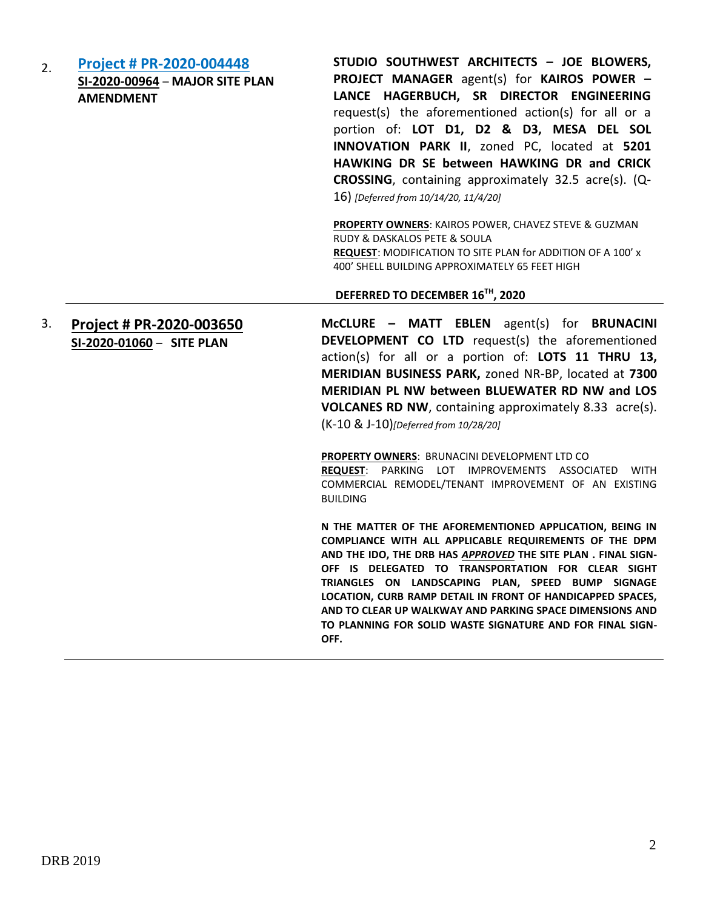2. **[Project # PR-2020-004448](http://data.cabq.gov/government/planning/DRB/PR-2020-004448/DRB%20Submittals/) SI-2020-00964** – **MAJOR SITE PLAN AMENDMENT**

**STUDIO SOUTHWEST ARCHITECTS – JOE BLOWERS, PROJECT MANAGER** agent(s) for **KAIROS POWER – LANCE HAGERBUCH, SR DIRECTOR ENGINEERING**  request(s) the aforementioned action(s) for all or a portion of: **LOT D1, D2 & D3, MESA DEL SOL INNOVATION PARK II**, zoned PC, located at **5201 HAWKING DR SE between HAWKING DR and CRICK CROSSING**, containing approximately 32.5 acre(s). (Q-16) *[Deferred from 10/14/20, 11/4/20]*

**PROPERTY OWNERS**: KAIROS POWER, CHAVEZ STEVE & GUZMAN RUDY & DASKALOS PETE & SOULA **REQUEST**: MODIFICATION TO SITE PLAN for ADDITION OF A 100' x 400' SHELL BUILDING APPROXIMATELY 65 FEET HIGH

#### **DEFERRED TO DECEMBER 16TH, 2020**

3. **[Project # PR-2020-003650](http://data.cabq.gov/government/planning/DRB/PR-2020-003650/DRB%20Submittals/) SI-2020-01060** – **SITE PLAN**

**McCLURE – MATT EBLEN** agent(s) for **BRUNACINI DEVELOPMENT CO LTD** request(s) the aforementioned action(s) for all or a portion of: **LOTS 11 THRU 13, MERIDIAN BUSINESS PARK,** zoned NR-BP, located at **7300 MERIDIAN PL NW between BLUEWATER RD NW and LOS VOLCANES RD NW**, containing approximately 8.33 acre(s). (K-10 & J-10)*[Deferred from 10/28/20]*

**PROPERTY OWNERS**: BRUNACINI DEVELOPMENT LTD CO **REQUEST**: PARKING LOT IMPROVEMENTS ASSOCIATED WITH COMMERCIAL REMODEL/TENANT IMPROVEMENT OF AN EXISTING BUILDING

**N THE MATTER OF THE AFOREMENTIONED APPLICATION, BEING IN COMPLIANCE WITH ALL APPLICABLE REQUIREMENTS OF THE DPM AND THE IDO, THE DRB HAS** *APPROVED* **THE SITE PLAN . FINAL SIGN-OFF IS DELEGATED TO TRANSPORTATION FOR CLEAR SIGHT TRIANGLES ON LANDSCAPING PLAN, SPEED BUMP SIGNAGE LOCATION, CURB RAMP DETAIL IN FRONT OF HANDICAPPED SPACES, AND TO CLEAR UP WALKWAY AND PARKING SPACE DIMENSIONS AND TO PLANNING FOR SOLID WASTE SIGNATURE AND FOR FINAL SIGN-OFF.**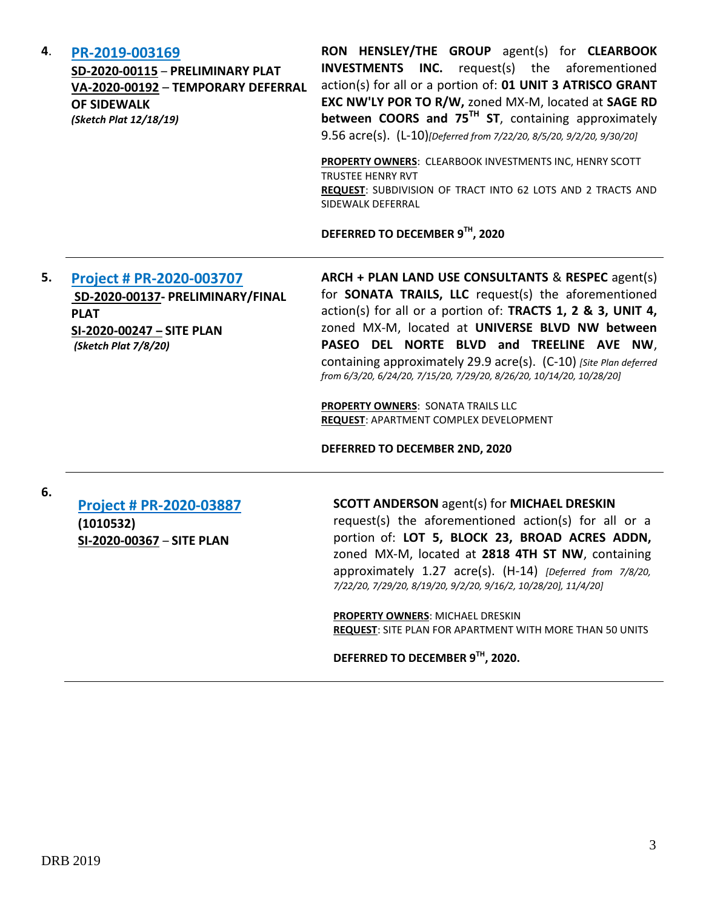| 4. | PR-2019-003169<br>SD-2020-00115 - PRELIMINARY PLAT<br>VA-2020-00192 - TEMPORARY DEFERRAL<br><b>OF SIDEWALK</b><br>(Sketch Plat 12/18/19) | RON HENSLEY/THE GROUP agent(s) for CLEARBOOK<br><b>INVESTMENTS INC.</b> request(s) the aforementioned<br>action(s) for all or a portion of: 01 UNIT 3 ATRISCO GRANT<br>EXC NW'LY POR TO R/W, zoned MX-M, located at SAGE RD<br>between COORS and $75^{TH}$ ST, containing approximately<br>9.56 acre(s). (L-10) [Deferred from 7/22/20, 8/5/20, 9/2/20, 9/30/20]<br><b>PROPERTY OWNERS: CLEARBOOK INVESTMENTS INC, HENRY SCOTT</b><br><b>TRUSTEE HENRY RVT</b> |
|----|------------------------------------------------------------------------------------------------------------------------------------------|----------------------------------------------------------------------------------------------------------------------------------------------------------------------------------------------------------------------------------------------------------------------------------------------------------------------------------------------------------------------------------------------------------------------------------------------------------------|
|    |                                                                                                                                          | REQUEST: SUBDIVISION OF TRACT INTO 62 LOTS AND 2 TRACTS AND<br>SIDEWALK DEFERRAL                                                                                                                                                                                                                                                                                                                                                                               |
| 5. | Project # PR-2020-003707                                                                                                                 | DEFERRED TO DECEMBER 9TH, 2020<br>ARCH + PLAN LAND USE CONSULTANTS & RESPEC agent(s)                                                                                                                                                                                                                                                                                                                                                                           |
|    | SD-2020-00137- PRELIMINARY/FINAL<br>.                                                                                                    | for <b>SONATA TRAILS, LLC</b> request(s) the aforementioned<br>action(s) for all or a nortion of <b>TRACTS 1 2 8. 3 IINIT 4</b>                                                                                                                                                                                                                                                                                                                                |

**PLAT SI-2020-00247 – SITE PLAN** *(Sketch Plat 7/8/20)* 

action(s) for all or a portion of: **TRACTS 1, 2 & 3, UNIT 4,**  zoned MX-M, located at **UNIVERSE BLVD NW between PASEO DEL NORTE BLVD and TREELINE AVE NW**, containing approximately 29.9 acre(s). (C-10) *[Site Plan deferred from 6/3/20, 6/24/20, 7/15/20, 7/29/20, 8/26/20, 10/14/20, 10/28/20]*

**PROPERTY OWNERS**: SONATA TRAILS LLC **REQUEST**: APARTMENT COMPLEX DEVELOPMENT

**DEFERRED TO DECEMBER 2ND, 2020**

**6.**

**[Project # PR-2020-03887](http://data.cabq.gov/government/planning/DRB/PR-2020-003887/DRB%20Submittals/) (1010532) SI-2020-00367** – **SITE PLAN**

#### **SCOTT ANDERSON** agent(s) for **MICHAEL DRESKIN**

request(s) the aforementioned action(s) for all or a portion of: **LOT 5, BLOCK 23, BROAD ACRES ADDN,** zoned MX-M, located at **2818 4TH ST NW**, containing approximately 1.27 acre(s). (H-14) *[Deferred from 7/8/20, 7/22/20, 7/29/20, 8/19/20, 9/2/20, 9/16/2, 10/28/20], 11/4/20]*

**PROPERTY OWNERS**: MICHAEL DRESKIN **REQUEST**: SITE PLAN FOR APARTMENT WITH MORE THAN 50 UNITS

**DEFERRED TO DECEMBER 9TH, 2020.**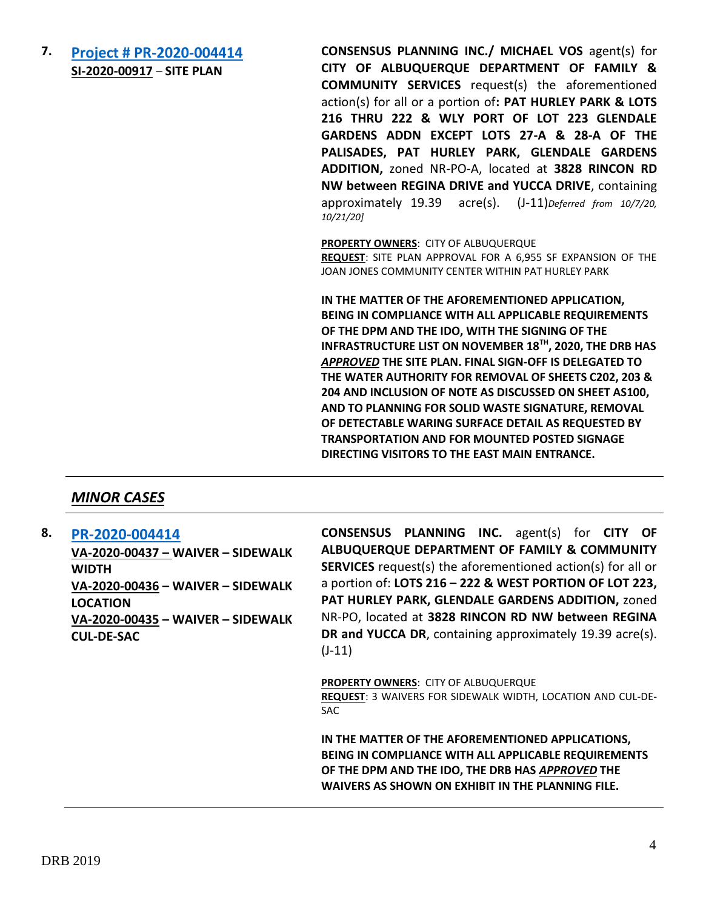**7. [Project # PR-2020-004414](http://data.cabq.gov/government/planning/DRB/PR-2020-004414/DRB%20Submittals/) SI-2020-00917** – **SITE PLAN**

**CONSENSUS PLANNING INC./ MICHAEL VOS** agent(s) for **CITY OF ALBUQUERQUE DEPARTMENT OF FAMILY & COMMUNITY SERVICES** request(s) the aforementioned action(s) for all or a portion of**: PAT HURLEY PARK & LOTS 216 THRU 222 & WLY PORT OF LOT 223 GLENDALE GARDENS ADDN EXCEPT LOTS 27-A & 28-A OF THE PALISADES, PAT HURLEY PARK, GLENDALE GARDENS ADDITION,** zoned NR-PO-A, located at **3828 RINCON RD NW between REGINA DRIVE and YUCCA DRIVE**, containing approximately 19.39 acre(s). (J-11)*Deferred from 10/7/20, 10/21/20]*

**PROPERTY OWNERS**: CITY OF ALBUQUERQUE

**REQUEST**: SITE PLAN APPROVAL FOR A 6,955 SF EXPANSION OF THE JOAN JONES COMMUNITY CENTER WITHIN PAT HURLEY PARK

**IN THE MATTER OF THE AFOREMENTIONED APPLICATION, BEING IN COMPLIANCE WITH ALL APPLICABLE REQUIREMENTS OF THE DPM AND THE IDO, WITH THE SIGNING OF THE INFRASTRUCTURE LIST ON NOVEMBER 18TH, 2020, THE DRB HAS**  *APPROVED* **THE SITE PLAN. FINAL SIGN-OFF IS DELEGATED TO THE WATER AUTHORITY FOR REMOVAL OF SHEETS C202, 203 & 204 AND INCLUSION OF NOTE AS DISCUSSED ON SHEET AS100, AND TO PLANNING FOR SOLID WASTE SIGNATURE, REMOVAL OF DETECTABLE WARING SURFACE DETAIL AS REQUESTED BY TRANSPORTATION AND FOR MOUNTED POSTED SIGNAGE DIRECTING VISITORS TO THE EAST MAIN ENTRANCE.**

# *MINOR CASES*

**8. [PR-2020-004414](http://data.cabq.gov/government/planning/DRB/PR-2020-004414/DRB%20Submittals/) VA-2020-00437 – WAIVER – SIDEWALK WIDTH VA-2020-00436 – WAIVER – SIDEWALK LOCATION VA-2020-00435 – WAIVER – SIDEWALK CUL-DE-SAC**

**CONSENSUS PLANNING INC.** agent(s) for **CITY OF ALBUQUERQUE DEPARTMENT OF FAMILY & COMMUNITY SERVICES** request(s) the aforementioned action(s) for all or a portion of: **LOTS 216 – 222 & WEST PORTION OF LOT 223, PAT HURLEY PARK, GLENDALE GARDENS ADDITION,** zoned NR-PO, located at **3828 RINCON RD NW between REGINA DR and YUCCA DR**, containing approximately 19.39 acre(s). (J-11)

**PROPERTY OWNERS**: CITY OF ALBUQUERQUE **REQUEST**: 3 WAIVERS FOR SIDEWALK WIDTH, LOCATION AND CUL-DE-SAC

**IN THE MATTER OF THE AFOREMENTIONED APPLICATIONS, BEING IN COMPLIANCE WITH ALL APPLICABLE REQUIREMENTS OF THE DPM AND THE IDO, THE DRB HAS** *APPROVED* **THE WAIVERS AS SHOWN ON EXHIBIT IN THE PLANNING FILE.**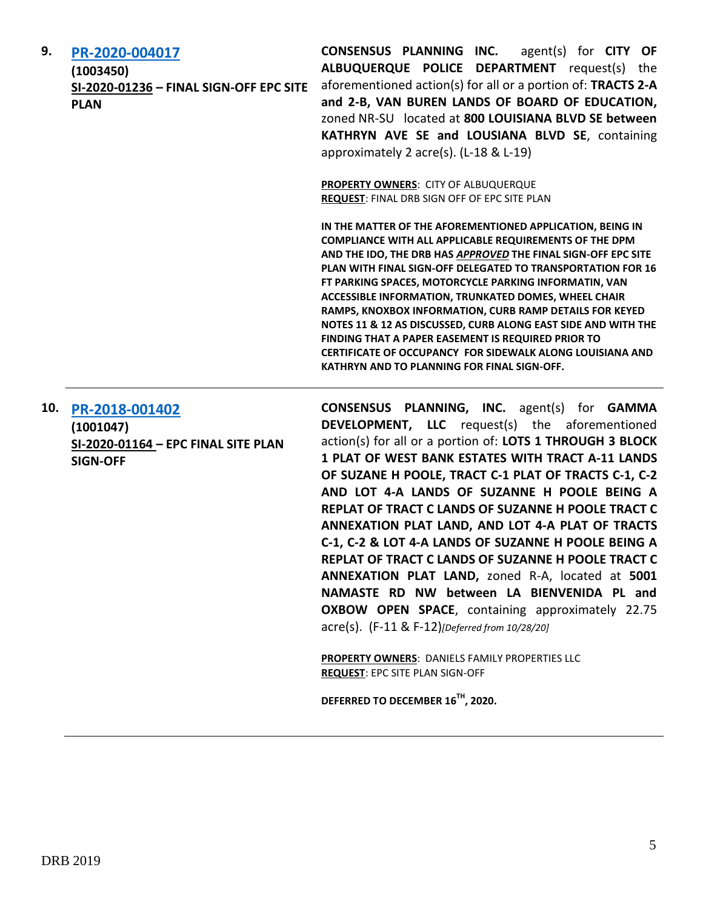| 9. | PR-2020-004017                          |    |
|----|-----------------------------------------|----|
|    | (1003450)                               |    |
|    | SI-2020-01236 - FINAL SIGN-OFF EPC SITE | a  |
|    | <b>PLAN</b>                             | а  |
|    |                                         | 71 |

**CONSENSUS PLANNING INC.** agent(s) for **CITY OF ALBUQUERQUE POLICE DEPARTMENT** request(s) the forementioned action(s) for all or a portion of: **TRACTS 2-A and 2-B, VAN BUREN LANDS OF BOARD OF EDUCATION,**  zoned NR-SU located at **800 LOUISIANA BLVD SE between KATHRYN AVE SE and LOUSIANA BLVD SE**, containing approximately 2 acre(s). (L-18 & L-19)

**PROPERTY OWNERS**: CITY OF ALBUQUERQUE **REQUEST**: FINAL DRB SIGN OFF OF EPC SITE PLAN

**IN THE MATTER OF THE AFOREMENTIONED APPLICATION, BEING IN COMPLIANCE WITH ALL APPLICABLE REQUIREMENTS OF THE DPM AND THE IDO, THE DRB HAS** *APPROVED* **THE FINAL SIGN-OFF EPC SITE PLAN WITH FINAL SIGN-OFF DELEGATED TO TRANSPORTATION FOR 16 FT PARKING SPACES, MOTORCYCLE PARKING INFORMATIN, VAN ACCESSIBLE INFORMATION, TRUNKATED DOMES, WHEEL CHAIR RAMPS, KNOXBOX INFORMATION, CURB RAMP DETAILS FOR KEYED NOTES 11 & 12 AS DISCUSSED, CURB ALONG EAST SIDE AND WITH THE FINDING THAT A PAPER EASEMENT IS REQUIRED PRIOR TO CERTIFICATE OF OCCUPANCY FOR SIDEWALK ALONG LOUISIANA AND KATHRYN AND TO PLANNING FOR FINAL SIGN-OFF.**

#### **10. [PR-2018-001402](http://data.cabq.gov/government/planning/DRB/PR-2018-001402/DRB%20Submittals/) (1001047) SI-2020-01164 – EPC FINAL SITE PLAN SIGN-OFF**

**CONSENSUS PLANNING, INC.** agent(s) for **GAMMA DEVELOPMENT, LLC** request(s) the aforementioned action(s) for all or a portion of: **LOTS 1 THROUGH 3 BLOCK 1 PLAT OF WEST BANK ESTATES WITH TRACT A-11 LANDS OF SUZANE H POOLE, TRACT C-1 PLAT OF TRACTS C-1, C-2 AND LOT 4-A LANDS OF SUZANNE H POOLE BEING A REPLAT OF TRACT C LANDS OF SUZANNE H POOLE TRACT C ANNEXATION PLAT LAND, AND LOT 4-A PLAT OF TRACTS C-1, C-2 & LOT 4-A LANDS OF SUZANNE H POOLE BEING A REPLAT OF TRACT C LANDS OF SUZANNE H POOLE TRACT C ANNEXATION PLAT LAND,** zoned R-A, located at **5001 NAMASTE RD NW between LA BIENVENIDA PL and OXBOW OPEN SPACE**, containing approximately 22.75 acre(s). (F-11 & F-12)*[Deferred from 10/28/20]*

**PROPERTY OWNERS**: DANIELS FAMILY PROPERTIES LLC **REQUEST**: EPC SITE PLAN SIGN-OFF

**DEFERRED TO DECEMBER 16TH, 2020.**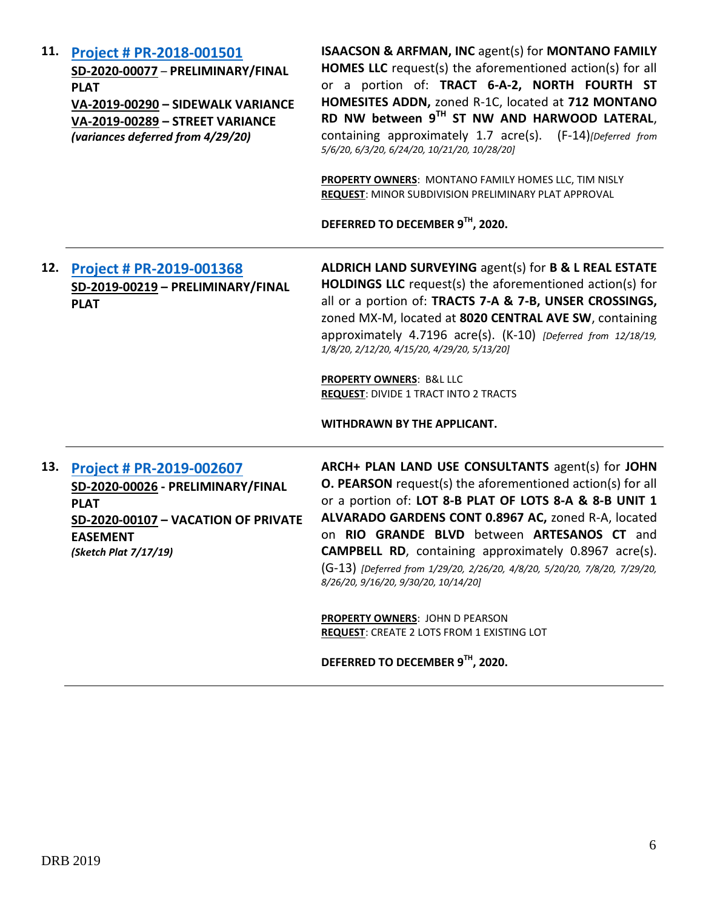**11. [Project # PR-2018-001501](http://data.cabq.gov/government/planning/DRB/PR-2018-001501/DRB%20Submittals/PR-2018-001501_(North%20Fourth%20St.%20Homesites%20Addn)_Mar_11_2020_Supp/Application/PR-2018-001501%20SUPPLEMENTAL%20SUBMITTAL.pdf) SD-2020-00077** – **PRELIMINARY/FINAL PLAT VA-2019-00290 – SIDEWALK VARIANCE VA-2019-00289 – STREET VARIANCE**  *(variances deferred from 4/29/20)* **ISAACSON & ARFMAN, INC** agent(s) for **MONTANO FAMILY HOMES LLC** request(s) the aforementioned action(s) for all or a portion of: **TRACT 6-A-2, NORTH FOURTH ST HOMESITES ADDN,** zoned R-1C, located at **712 MONTANO RD NW between 9TH ST NW AND HARWOOD LATERAL**, containing approximately 1.7 acre(s). (F-14)*[Deferred from 5/6/20, 6/3/20, 6/24/20, 10/21/20, 10/28/20]* **PROPERTY OWNERS**: MONTANO FAMILY HOMES LLC, TIM NISLY **REQUEST**: MINOR SUBDIVISION PRELIMINARY PLAT APPROVAL **DEFERRED TO DECEMBER 9TH, 2020. 12. [Project # PR-2019-001368](http://data.cabq.gov/government/planning/DRB/PR-2019-001368/DRB%20Submittals/) SD-2019-00219 – PRELIMINARY/FINAL PLAT ALDRICH LAND SURVEYING** agent(s) for **B & L REAL ESTATE HOLDINGS LLC** request(s) the aforementioned action(s) for all or a portion of: **TRACTS 7-A & 7-B, UNSER CROSSINGS,**  zoned MX-M, located at **8020 CENTRAL AVE SW**, containing approximately 4.7196 acre(s). (K-10) *[Deferred from 12/18/19, 1/8/20, 2/12/20, 4/15/20, 4/29/20, 5/13/20]* **PROPERTY OWNERS**: B&L LLC **REQUEST**: DIVIDE 1 TRACT INTO 2 TRACTS **WITHDRAWN BY THE APPLICANT. 13. [Project # PR-2019-002607](http://data.cabq.gov/government/planning/DRB/PR-2019-002607/DRB%20Submittals/) SD-2020-00026 - PRELIMINARY/FINAL PLAT SD-2020-00107 – VACATION OF PRIVATE EASEMENT** *(Sketch Plat 7/17/19)* **ARCH+ PLAN LAND USE CONSULTANTS** agent(s) for **JOHN O. PEARSON** request(s) the aforementioned action(s) for all or a portion of: **LOT 8-B PLAT OF LOTS 8-A & 8-B UNIT 1 ALVARADO GARDENS CONT 0.8967 AC,** zoned R-A, located on **RIO GRANDE BLVD** between **ARTESANOS CT** and **CAMPBELL RD**, containing approximately 0.8967 acre(s). (G-13) *[Deferred from 1/29/20, 2/26/20, 4/8/20, 5/20/20, 7/8/20, 7/29/20, 8/26/20, 9/16/20, 9/30/20, 10/14/20]* **PROPERTY OWNERS**: JOHN D PEARSON **REQUEST**: CREATE 2 LOTS FROM 1 EXISTING LOT

**DEFERRED TO DECEMBER 9TH, 2020.**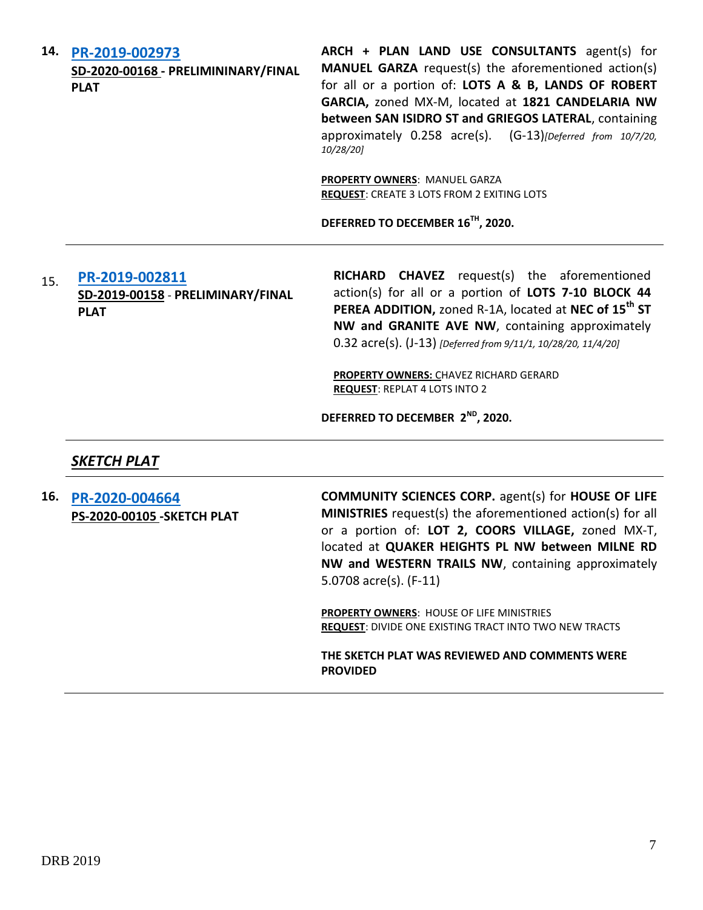**14. [PR-2019-002973](http://data.cabq.gov/government/planning/DRB/PR-2019-002973/DRB%20Submittals/)**

**SD-2020-00168 - PRELIMININARY/FINAL PLAT**

**ARCH + PLAN LAND USE CONSULTANTS** agent(s) for **MANUEL GARZA** request(s) the aforementioned action(s) for all or a portion of: **LOTS A & B, LANDS OF ROBERT GARCIA,** zoned MX-M, located at **1821 CANDELARIA NW between SAN ISIDRO ST and GRIEGOS LATERAL**, containing approximately 0.258 acre(s). (G-13)*[Deferred from 10/7/20, 10/28/20]*

**PROPERTY OWNERS**: MANUEL GARZA **REQUEST**: CREATE 3 LOTS FROM 2 EXITING LOTS

**DEFERRED TO DECEMBER 16TH, 2020.**

### 15. **[PR-2019-002811](http://data.cabq.gov/government/planning/DRB/PR-2019-002811/DRB%20Submittals/) SD-2019-00158** - **PRELIMINARY/FINAL PLAT**

**RICHARD CHAVEZ** request(s) the aforementioned action(s) for all or a portion of **LOTS 7-10 BLOCK 44 PEREA ADDITION,** zoned R-1A, located at **NEC of 15th ST NW and GRANITE AVE NW**, containing approximately 0.32 acre(s). (J-13) *[Deferred from 9/11/1, 10/28/20, 11/4/20]*

**PROPERTY OWNERS:** CHAVEZ RICHARD GERARD **REQUEST**: REPLAT 4 LOTS INTO 2

**DEFERRED TO DECEMBER 2ND, 2020.**

# *SKETCH PLAT*

**16. [PR-2020-004664](http://data.cabq.gov/government/planning/DRB/PR-2020-004664/DRB%20Submittals/PR-2020-004664_Nov_18_2020/Application/) PS-2020-00105 -SKETCH PLAT** **COMMUNITY SCIENCES CORP.** agent(s) for **HOUSE OF LIFE MINISTRIES** request(s) the aforementioned action(s) for all or a portion of: **LOT 2, COORS VILLAGE,** zoned MX-T, located at **QUAKER HEIGHTS PL NW between MILNE RD NW and WESTERN TRAILS NW**, containing approximately 5.0708 acre(s). (F-11)

**PROPERTY OWNERS**: HOUSE OF LIFE MINISTRIES **REQUEST**: DIVIDE ONE EXISTING TRACT INTO TWO NEW TRACTS

**THE SKETCH PLAT WAS REVIEWED AND COMMENTS WERE PROVIDED**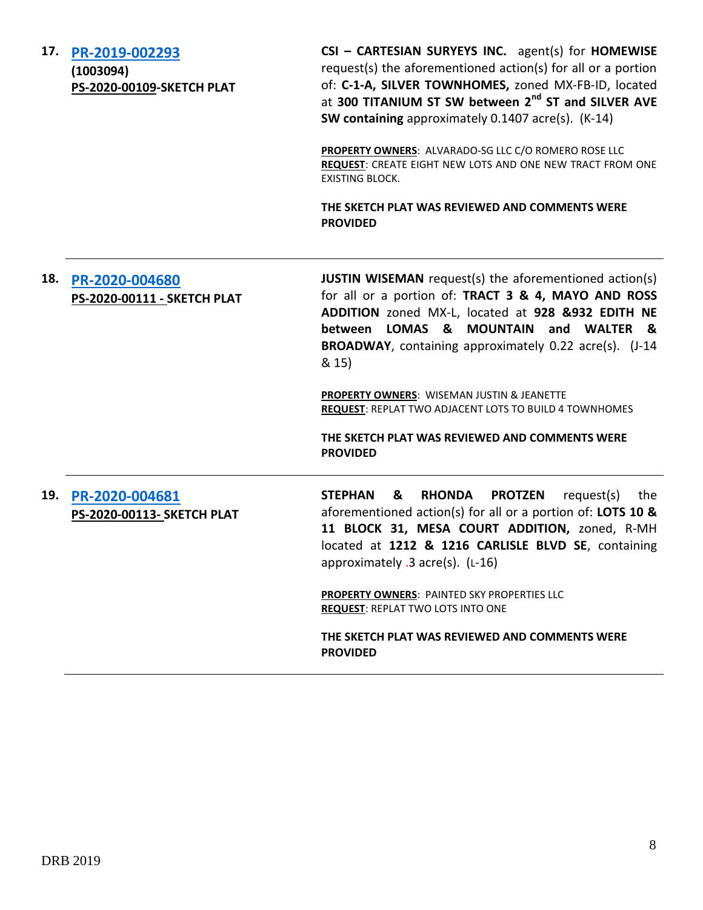**17. [PR-2019-002293](http://data.cabq.gov/government/planning/DRB/PR-2019-002293/DRB%20Submittals/PR-2019-002293_Nov_18_2020/Application/) (1003094)**

**PS-2020-00109-SKETCH PLAT**

**CSI – CARTESIAN SURYEYS INC.** agent(s) for **HOMEWISE** request(s) the aforementioned action(s) for all or a portion of: **C-1-A, SILVER TOWNHOMES,** zoned MX-FB-ID, located at **300 TITANIUM ST SW between 2nd ST and SILVER AVE SW containing** approximately 0.1407 acre(s). (K-14)

**PROPERTY OWNERS**: ALVARADO-SG LLC C/O ROMERO ROSE LLC **REQUEST**: CREATE EIGHT NEW LOTS AND ONE NEW TRACT FROM ONE EXISTING BLOCK.

**THE SKETCH PLAT WAS REVIEWED AND COMMENTS WERE PROVIDED**

# **18. [PR-2020-004680](http://data.cabq.gov/government/planning/DRB/PR-2020-004680/DRB%20Submittals/PR-2020-004680_NOV_18_2020/Application/) PS-2020-00111 - SKETCH PLAT JUSTIN WISEMAN** request(s) the aforementioned action(s) for all or a portion of: **TRACT 3 & 4, MAYO AND ROSS ADDITION** zoned MX-L, located at **928 &932 EDITH NE between LOMAS & MOUNTAIN and WALTER & BROADWAY**, containing approximately 0.22 acre(s). (J-14 & 15) **PROPERTY OWNERS**: WISEMAN JUSTIN & JEANETTE **REQUEST**: REPLAT TWO ADJACENT LOTS TO BUILD 4 TOWNHOMES **THE SKETCH PLAT WAS REVIEWED AND COMMENTS WERE PROVIDED 19. [PR-2020-004681](http://data.cabq.gov/government/planning/DRB/PR-2020-004681/DRB%20Submittals/PR-2020-004681_NOV_18_2020/Application/12121216%20Carlisle%20Re%20Plat%20Docs.pdf) PS-2020-00113- SKETCH PLAT STEPHAN & RHONDA PROTZEN** request(s) the aforementioned action(s) for all or a portion of: **LOTS 10 & 11 BLOCK 31, MESA COURT ADDITION,** zoned, R-MH located at **1212 & 1216 CARLISLE BLVD SE**, containing approximately .3 acre(s). (L-16) **PROPERTY OWNERS**: PAINTED SKY PROPERTIES LLC **REQUEST**: REPLAT TWO LOTS INTO ONE

**THE SKETCH PLAT WAS REVIEWED AND COMMENTS WERE PROVIDED**